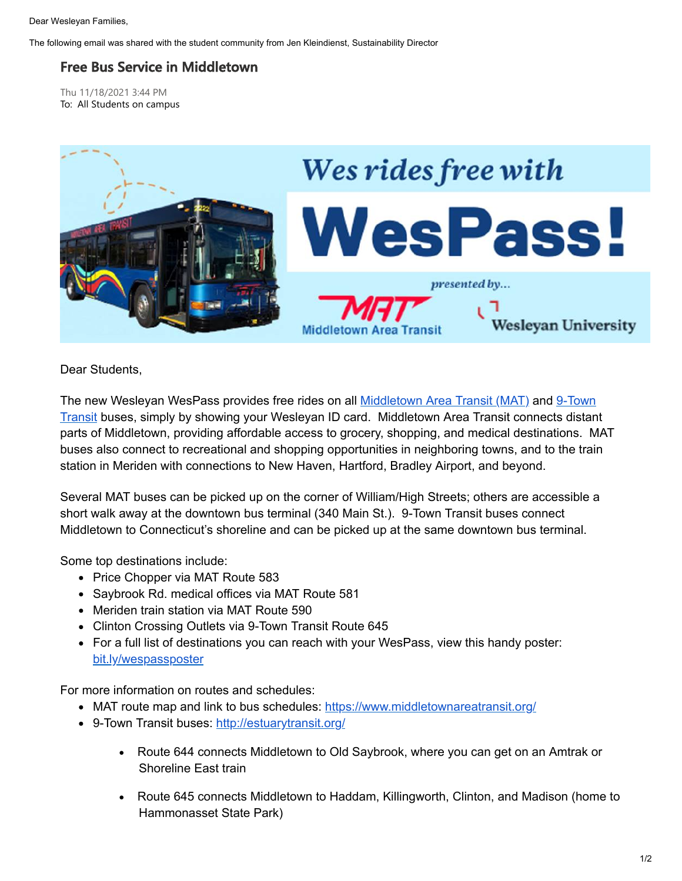Dear Wesleyan Families,

The following email was shared with the student community from Jen Kleindienst, Sustainability Director

## **Free Bus Service in Middletown**

Thu 11/18/2021 3:44 PM To: All Students on campus



Dear Students,

[The new Wesleyan WesPass provides free rides on all](http://estuarytransit.org/) [Middletown Area Transit \(MAT](https://www.middletownareatransit.org/)[\) and 9-Town](http://estuarytransit.org/) Transit buses, simply by showing your Wesleyan ID card. Middletown Area Transit connects distant parts of Middletown, providing affordable access to grocery, shopping, and medical destinations. MAT buses also connect to recreational and shopping opportunities in neighboring towns, and to the train station in Meriden with connections to New Haven, Hartford, Bradley Airport, and beyond.

Several MAT buses can be picked up on the corner of William/High Streets; others are accessible a short walk away at the downtown bus terminal (340 Main St.). 9-Town Transit buses connect Middletown to Connecticut's shoreline and can be picked up at the same downtown bus terminal.

Some top destinations include:

- Price Chopper via MAT Route 583
- Saybrook Rd. medical offices via MAT Route 581
- Meriden train station via MAT Route 590
- Clinton Crossing Outlets via 9-Town Transit Route 645
- For a full list of destinations you can reach with your WesPass, view this handy poster: [bit.ly/wespassposter](https://bit.ly/wespassposter)

For more information on routes and schedules:

- MAT route map and link to bus schedules: <https://www.middletownareatransit.org/>
- 9-Town Transit buses:<http://estuarytransit.org/>
	- · Route 644 connects Middletown to Old Saybrook, where you can get on an Amtrak or Shoreline East train
	- · Route 645 connects Middletown to Haddam, Killingworth, Clinton, and Madison (home to Hammonasset State Park)